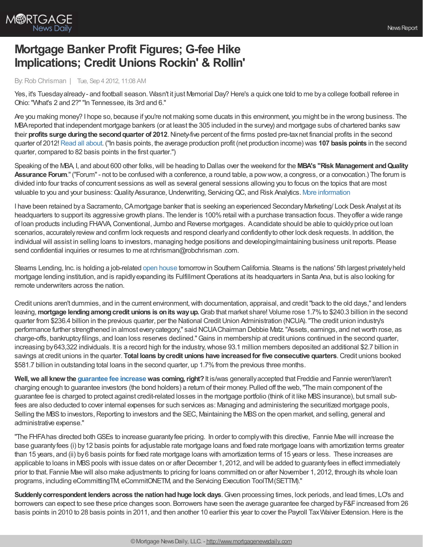

# **Mortgage Banker Profit Figures; G-fee Hike Implications; Credit Unions Rockin' & Rollin'**

#### By:Rob Chrisman | Tue, Sep 4 2012, 11:08 AM

Yes, it's Tuesdayalready- and football season. Wasn't it just Memorial Day? Here's a quick one told to me bya college football referee in Ohio:"What's 2 and 2?""In Tennessee, its 3rd and 6."

Are you making money? I hope so, because if you're not making some ducats in this environment, you might be in the wrong business. The MBAreported that independent mortgage bankers (or at least the 305 included in the survey) and mortgage subs of chartered banks saw their **profits surge duringthe secondquarter of 2012**.Ninety-five percent of the firms posted pre-taxnet financial profits in the second quarter of 2012!Read all [about.](http://www.mbaa.org/NewsandMedia/PressCenter/81793.htm) ("In basis points, the average production profit (net production income) was **107 basis points** in the second quarter, compared to 82 basis points in the first quarter.")

Speaking of the MBA, I, and about 600 other folks,will be heading to Dallas over the weekend for the **MBA's "Risk Management andQuality Assurance Forum**."("Forum"- not to be confused with a conference, a round table, a powwow, a congress, or a convocation.) The forum is divided into four tracks of concurrent sessions as well as several general sessions allowing you to focus on the topics that are most valuable to you and your business: Quality Assurance, Underwriting, Servicing QC, and Risk Analytics. More [information](http://www.mortgagebankers.org/RMQA12.htm)

I have been retained by a Sacramento, CAmortgage banker that is seeking an experienced Secondary Marketing/ Lock Desk Analyst at its headquarters to support its aggressive growth plans. The lender is 100%retail with a purchase transaction focus. Theyoffer a wide range of loan products including FHA/VA,Conventional, Jumbo and Reverse mortgages. Acandidate should be able to quicklyprice out loan scenarios, accurately review and confirm lock requests and respond clearly and confidently to other lock desk requests. In addition, the individual will assist in selling loans to investors, managing hedge positions and developing/maintaining business unit reports. Please send confidential inquiries or resumes to me at rchrisman@robchrisman .com.

Stearns Lending, Inc. is holding a job-related open [house](http://stearnscareers.com/open-house/) tomorrowin Southern California. Stearns is the nations' 5th largest privatelyheld mortgage lending institution, and is rapidly expanding its Fulfillment Operations at its headquarters in Santa Ana, but is also looking for remote underwriters across the nation.

Credit unions aren't dummies, and in the current environment,with documentation, appraisal, and credit"back to the old days," and lenders leaving,**mortgage lendingamongcredit unions is onitswayup.**Grab that market share! Volume rose 1.7%to \$240.3 billion in the second quarter from \$236.4 billion in the previous quarter, per the National CreditUnion Administration (NCUA)."The credit union industry's performance further strengthened in almost everycategory," said NCUAChairman Debbie Matz."Assets, earnings, and networth rose, as charge-offs, bankruptcyfilings, and loan loss reserves declined."Gains in membership at credit unions continued in the second quarter, increasing by 643,322 individuals. It is a record high for the industry, whose 93.1 million members deposited an additional \$2.7 billion in savings at credit unions in the quarter. **Total loans bycredit unions have increasedfor five consecutive quarters**.Credit unions booked \$581.7 billion in outstanding total loans in the second quarter, up 1.7% from the previous three months.

**Well, we all knew the** *[guarantee](http://www.mortgagenewsdaily.com/08312012_gse_guarantee_fees.asp)* fee increase was coming, right? It is/was generally accepted that Freddie and Fannie weren't/aren't charging enough to guarantee investors (the bond holders) a return of their money. Pulled off the web,"The main component of the guarantee fee is charged to protect against credit-related losses in the mortgage portfolio (think of it like MBS insurance), but small subfees are also deducted to cover internal expenses for such services as: Managing and administering the securitized mortgage pools, Selling the MBS to investors, Reporting to investors and the SEC, Maintaining the MBS on the open market, and selling, general and administrative expense."

"The FHFA has directed both GSEs to increase guaranty fee pricing. In order to comply with this directive, Fannie Mae will increase the base guarantyfees (i) by12 basis points for adjustable rate mortgage loans and fixed rate mortgage loans with amortization terms greater than 15 years, and (ii) by6 basis points for fixed rate mortgage loans with amortization terms of 15 years or less. These increases are applicable to loans in MBS pools with issue dates on or after December 1, 2012, and will be added to guaranty fees in effect immediately prior to that. Fannie Mae will also make adjustments to pricing for loans committed on or after November 1, 2012, through its whole loan programs, including eCommittingTM, eCommitONETM, and the Servicing Execution ToolTM(SETTM)."

**Suddenlycorrespondent lenders across the nationhadhuge lock days**.Given processing times, lock periods, and lead times, LO's and borrowers can expect to see these price changes soon. Borrowers have seen the average guarantee fee charged by F&F increased from 26 basis points in 2010 to 28 basis points in 2011, and then another 10 earlier this year to cover the Payroll Tax Waiver Extension. Here is the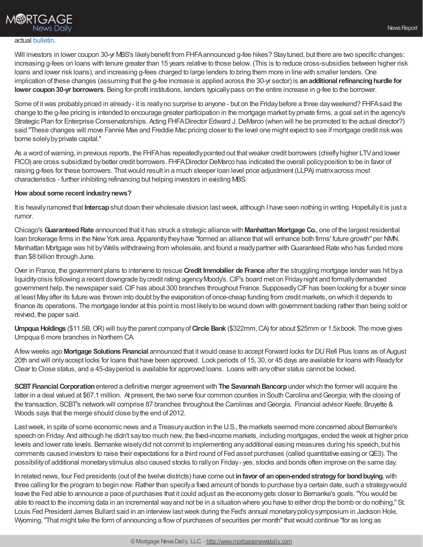# **M®RTGAGE News Daily**

#### actual [bulletin](http://www.fhfa.gov/webfiles/24259/Gfee083112.pdf).

Will investors in lower coupon 30-yr MBS's likely benefit from FHFA announced g-fee hikes? Stay tuned, but there are two specific changes: increasing g-fees on loans with tenure greater than 15 years relative to those below. (This is to reduce cross-subsidies between higher risk loans and lower risk loans), and increasing g-fees charged to large lenders to bring them more in line with smaller lenders. One implication of these changes (assuming that the g-fee increase is applied across the 30-yr sector) is **anadditionalrefinancinghurdle for lower coupon30-yr borrowers**. Being for-profit institutions, lenders typicallypass on the entire increase in g-fee to the borrower.

Some of it was probably priced in already- it is really no surprise to anyone - but on the Friday before a three day weekend? FHFA said the change to the g-fee pricing is intended to encourage greater participation in the mortgage market byprivate firms, a goal set in the agency's Strategic Plan for Enterprise Conservatorships. Acting FHFA Director Edward J. DeMarco (when will he be promoted to the actual director?) said "These changes will move Fannie Mae and Freddie Mac pricing closer to the level one might expect to see if mortgage credit riskwas borne solely by private capital."

As a word of warning, in previous reports, the FHFA has repeatedly pointed out that weaker credit borrowers (chiefly higher LTV and lower FICO) are cross subsidized bybetter credit borrowers. FHFADirector DeMarco has indicated the overall policyposition to be in favor of raising g-fees for these borrowers. Thatwould result in a much steeper loan level price adjustment (LLPA) matrixacross most characteristics - further inhibiting refinancing but helping investors in existing MBS.

#### **How about some recent industrynews?**

It is heavilyrumored that **Intercap**shut down their wholesale division lastweek, although I have seen nothing in writing.Hopefullyit is just a rumor.

Chicago's **GuaranteedRate** announced that it has struck a strategic alliance with **ManhattanMortgage Co.**, one of the largest residential loan brokerage firms in the New York area. Apparently they have "formed an alliance that will enhance both firms' future growth" per NMN. Manhattan Mortgage was hit by Wells withdrawing from wholesale, and found a ready partner with Guaranteed Rate who has funded more than \$8 billion through June.

Over in France, the government plans to intervene to rescue **Credit Immobilier de France** after the struggling mortgage lender was hit bya liquidity crisis following a recent downgrade by credit rating agency Moody's. CIF's board met on Friday night and formally demanded government help, the newspaper said. CIF has about 300 branches throughout France. Supposedly CIF has been looking for a buyer since at least Mayafter its future was thrown into doubt bythe evaporation of once-cheap funding from credit markets, on which it depends to finance its operations. The mortgage lender at this point is most likelyto be wound down with government backing rather than being sold or revived, the paper said.

**Umpqua Holdings** (\$11.5B,OR) will buythe parent companyof**Circle Bank** (\$322mm,CA) for about \$25mm or 1.5xbook. The move gives Umpqua 6 more branches in Northern CA.

Afewweeks ago **Mortgage Solutions Financial** announced that itwould cease to accept Forward locks for DURefi Plus loans as of August 20th and will onlyaccept locks for loans that have been approved. Lock periods of 15, 30, or 45 days are available for loans with Readyfor Clear to Close status, and a 45-dayperiod is available for approved loans. Loans with anyother status cannot be locked.

**SCBT Financial Corporation** entered a definitive merger agreement with **The Savannah Bancorp** under which the former will acquire the latter in a deal valued at \$67.1 million. At present, the two serve four common counties in South Carolina and Georgia; with the closing of the transaction, SCBT's network will comprise 87 branches throughout the Carolinas and Georgia. Financial advisor Keefe, Bruyette & Woods says that the merge should close bythe end of 2012.

Lastweek, in spite of some economic news and a Treasuryauction in the U.S., the markets seemed more concerned about Bernanke's speech on Friday. And although he didn't saytoo much new, the fixed-income markets, including mortgages, ended the week at higher price levels and lower rate levels. Bernanke wiselydid not commit to implementing anyadditional easing measures during his speech, but his comments caused investors to raise their expectations for a third round of Fed asset purchases (called quantitative easing orQE3). The possibilityof additional monetarystimulus also caused stocks to rallyon Friday- yes, stocks and bonds often improve on the same day.

In related news, four Fed presidents (out of the twelve districts) have come out **infavor of anopen-endedstrategyfor bondbuying**,with three calling for the program to begin now. Rather than specify a fixed amount of bonds to purchase by a certain date, such a strategy would leave the Fed able to announce a pace of purchases that it could adjust as the economygets closer to Bernanke's goals."You would be able to react to the incoming data in an incremental wayand not be in a situation where you have to either drop the bomb or do nothing," St. Louis Fed President James Bullard said in an interview last week during the Fed's annual monetary policy symposium in Jackson Hole, Wyoming. "That might take the form of announcing a flow of purchases of securities per month" that would continue "for as long as